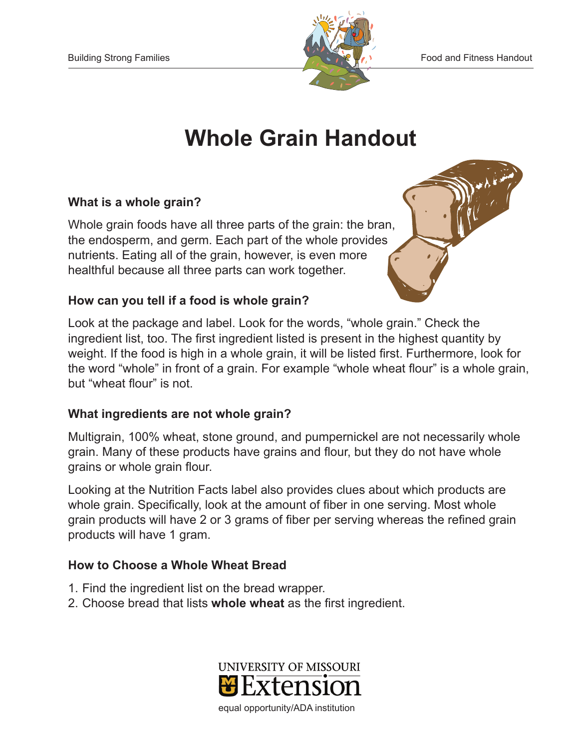

# **Whole Grain Handout**

### **What is a whole grain?**

Whole grain foods have all three parts of the grain: the bran, the endosperm, and germ. Each part of the whole provides nutrients. Eating all of the grain, however, is even more healthful because all three parts can work together.

# **How can you tell if a food is whole grain?**

Look at the package and label. Look for the words, "whole grain." Check the ingredient list, too. The first ingredient listed is present in the highest quantity by weight. If the food is high in a whole grain, it will be listed first. Furthermore, look for the word "whole" in front of a grain. For example "whole wheat flour" is a whole grain, but "wheat flour" is not.

#### **What ingredients are not whole grain?**

Multigrain, 100% wheat, stone ground, and pumpernickel are not necessarily whole grain. Many of these products have grains and flour, but they do not have whole grains or whole grain flour.

Looking at the Nutrition Facts label also provides clues about which products are whole grain. Specifically, look at the amount of fiber in one serving. Most whole grain products will have 2 or 3 grams of fiber per serving whereas the refined grain products will have 1 gram.

# **How to Choose a Whole Wheat Bread**

- 1. Find the ingredient list on the bread wrapper.
- 2. Choose bread that lists **whole wheat** as the first ingredient.



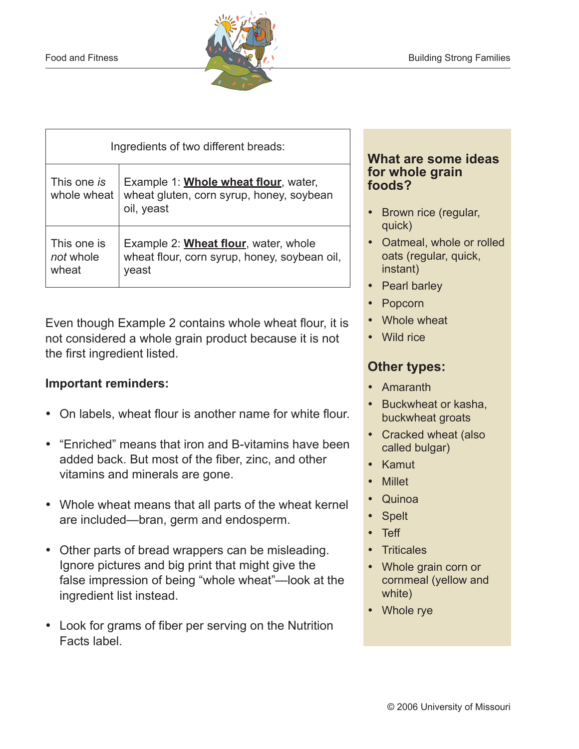

| Ingredients of two different breads: |                                                                                                        |
|--------------------------------------|--------------------------------------------------------------------------------------------------------|
| This one is<br>whole wheat           | Example 1: <b>Whole wheat flour</b> , water,<br>wheat gluten, corn syrup, honey, soybean<br>oil, yeast |
| This one is<br>not whole<br>wheat    | Example 2: <b>Wheat flour</b> , water, whole<br>wheat flour, corn syrup, honey, soybean oil,<br>veast  |

Even though Example 2 contains whole wheat flour, it is not considered a whole grain product because it is not the first ingredient listed.

# **Important reminders:**

- On labels, wheat flour is another name for white flour.
- "Enriched" means that iron and B-vitamins have been added back. But most of the fiber, zinc, and other vitamins and minerals are gone.
- Whole wheat means that all parts of the wheat kernel are included—bran, germ and endosperm.
- Other parts of bread wrappers can be misleading. Ignore pictures and big print that might give the false impression of being "whole wheat"—look at the ingredient list instead.
- Look for grams of fiber per serving on the Nutrition Facts label.

#### **What are some ideas for whole grain foods?**

- Brown rice (regular, quick)
- Oatmeal, whole or rolled oats (regular, quick, instant)
- Pearl barley
- • Popcorn
- Whole wheat
- Wild rice

# **Other types:**

- • Amaranth
- Buckwheat or kasha, buckwheat groats
- Cracked wheat (also called bulgar)
- • Kamut
- Millet
- • Quinoa
- **Spelt**
- • Teff
- • Triticales
- Whole grain corn or cornmeal (yellow and white)
- Whole rve